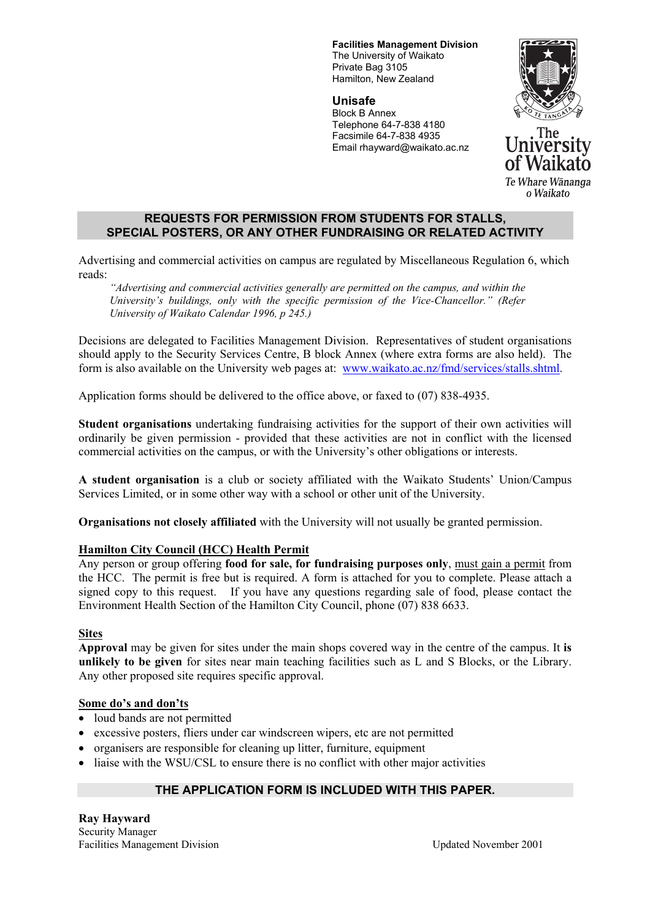**Facilities Management Division**  The University of Waikato Private Bag 3105 Hamilton, New Zealand

**Unisafe**  Block B Annex Telephone 64-7-838 4180 Facsimile 64-7-838 4935 Email rhayward@waikato.ac.nz



### **REQUESTS FOR PERMISSION FROM STUDENTS FOR STALLS, SPECIAL POSTERS, OR ANY OTHER FUNDRAISING OR RELATED ACTIVITY**

Advertising and commercial activities on campus are regulated by Miscellaneous Regulation 6, which reads:

*"Advertising and commercial activities generally are permitted on the campus, and within the University's buildings, only with the specific permission of the Vice-Chancellor." (Refer University of Waikato Calendar 1996, p 245.)* 

Decisions are delegated to Facilities Management Division. Representatives of student organisations should apply to the Security Services Centre, B block Annex (where extra forms are also held). The form is also available on the University web pages at: www.waikato.ac.nz/fmd/services/stalls.shtml.

Application forms should be delivered to the office above, or faxed to (07) 838-4935.

**Student organisations** undertaking fundraising activities for the support of their own activities will ordinarily be given permission - provided that these activities are not in conflict with the licensed commercial activities on the campus, or with the University's other obligations or interests.

**A student organisation** is a club or society affiliated with the Waikato Students' Union/Campus Services Limited, or in some other way with a school or other unit of the University.

**Organisations not closely affiliated** with the University will not usually be granted permission.

# **Hamilton City Council (HCC) Health Permit**

Any person or group offering **food for sale, for fundraising purposes only**, must gain a permit from the HCC. The permit is free but is required. A form is attached for you to complete. Please attach a signed copy to this request. If you have any questions regarding sale of food, please contact the Environment Health Section of the Hamilton City Council, phone (07) 838 6633.

### **Sites**

**Approval** may be given for sites under the main shops covered way in the centre of the campus. It **is unlikely to be given** for sites near main teaching facilities such as L and S Blocks, or the Library. Any other proposed site requires specific approval.

### **Some do's and don'ts**

- loud bands are not permitted
- excessive posters, fliers under car windscreen wipers, etc are not permitted
- organisers are responsible for cleaning up litter, furniture, equipment
- liaise with the WSU/CSL to ensure there is no conflict with other major activities

# **THE APPLICATION FORM IS INCLUDED WITH THIS PAPER.**

**Ray Hayward**  Security Manager Facilities Management Division Updated November 2001